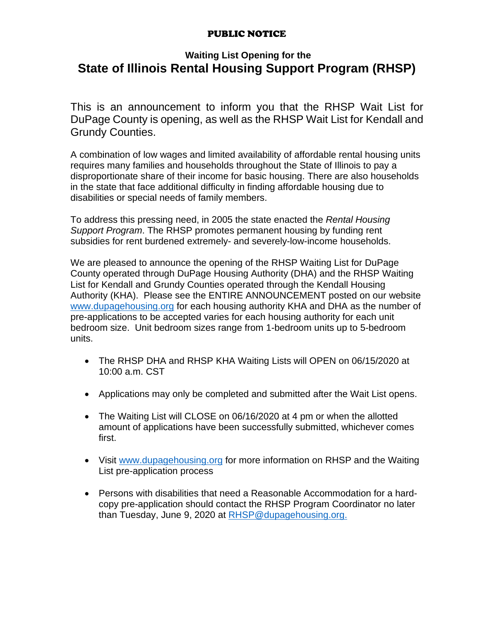### PUBLIC NOTICE

### **Waiting List Opening for the State of Illinois Rental Housing Support Program (RHSP)**

This is an announcement to inform you that the RHSP Wait List for DuPage County is opening, as well as the RHSP Wait List for Kendall and Grundy Counties.

A combination of low wages and limited availability of affordable rental housing units requires many families and households throughout the State of Illinois to pay a disproportionate share of their income for basic housing. There are also households in the state that face additional difficulty in finding affordable housing due to disabilities or special needs of family members.

To address this pressing need, in 2005 the state enacted the *Rental Housing Support Program*. The RHSP promotes permanent housing by funding rent subsidies for rent burdened extremely- and severely-low-income households.

We are pleased to announce the opening of the RHSP Waiting List for DuPage County operated through DuPage Housing Authority (DHA) and the RHSP Waiting List for Kendall and Grundy Counties operated through the Kendall Housing Authority (KHA). Please see the ENTIRE ANNOUNCEMENT posted on our website [www.dupagehousing.org](http://www.dupagehousing.org/) for each housing authority KHA and DHA as the number of pre-applications to be accepted varies for each housing authority for each unit bedroom size. Unit bedroom sizes range from 1-bedroom units up to 5-bedroom units.

- The RHSP DHA and RHSP KHA Waiting Lists will OPEN on 06/15/2020 at 10:00 a.m. CST
- Applications may only be completed and submitted after the Wait List opens.
- The Waiting List will CLOSE on 06/16/2020 at 4 pm or when the allotted amount of applications have been successfully submitted, whichever comes first.
- Visit [www.dupagehousing.org](http://www.dupagehousing.org/) for more information on RHSP and the Waiting List pre-application process
- Persons with disabilities that need a Reasonable Accommodation for a hardcopy pre-application should contact the RHSP Program Coordinator no later than Tuesday, June 9, 2020 at [RHSP@dupagehousing.org.](mailto:RHSP@dupagehousing.org)